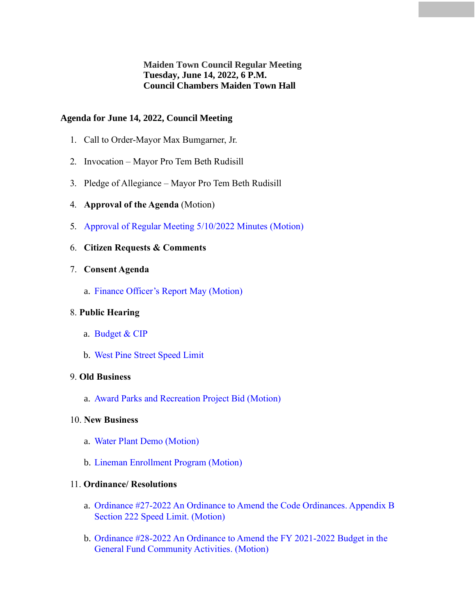**Maiden Town Council Regular Meeting Tuesday, June 14, 2022, 6 P.M. Council Chambers Maiden Town Hall**

# **Agenda for June 14, 2022, Council Meeting**

- 1. Call to Order-Mayor Max Bumgarner, Jr.
- 2. Invocation Mayor Pro Tem Beth Rudisill
- 3. Pledge of Allegiance Mayor Pro Tem Beth Rudisill
- 4. **Approval of the Agenda** (Motion)
- 5. [Approval of Regular](#page-1-0) Meeting 5/10/2022 Minutes (Motion)
- 6. **Citizen Requests & Comments**
- 7. **Consent Agenda**
	- a. Finance Officer's Report May (Motion)

### 8. **Public Hearing**

- a. Budget & CIP
- b. West Pine Street Speed Limit

### 9. **Old Business**

a. Award Parks and Recreation Project Bid (Motion)

# 10. **New Business**

- a. Water Plant Demo (Motion)
- b. Lineman Enrollment Program (Motion)

#### 11. **Ordinance/ Resolutions**

- a. Ordinance #27-2022 An Ordinance to Amend the Code Ordinances. Appendix B Section 222 Speed Limit. (Motion)
- b. Ordinance #28-2022 An Ordinance to Amend the FY 2021-2022 Budget in the General Fund Community Activities. (Motion)